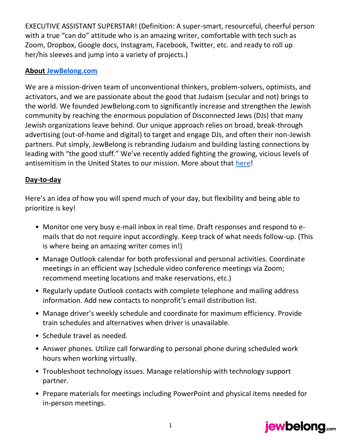EXECUTIVE ASSISTANT SUPERSTAR! (Definition: A super-smart, resourceful, cheerful person with a true "can do" attitude who is an amazing writer, comfortable with tech such as Zoom, Dropbox, Google docs, Instagram, Facebook, Twitter, etc. and ready to roll up her/his sleeves and jump into a variety of projects.)

## **About [JewBelong.com](https://www.jewbelong.com/)**

We are a mission-driven team of unconventional thinkers, problem-solvers, optimists, and activators, and we are passionate about the good that Judaism (secular and not) brings to the world. We founded JewBelong.com to significantly increase and strengthen the Jewish community by reaching the enormous population of Disconnected Jews (DJs) that many Jewish organizations leave behind. Our unique approach relies on broad, break-through advertising (out-of-home and digital) to target and engage DJs, and often their non-Jewish partners. Put simply, JewBelong is rebranding Judaism and building lasting connections by leading with "the good stuff." We've recently added fighting the growing, vicious levels of antisemitism in the United States to our mission. More about that [here!](https://www.youtube.com/watch?v=93m4CWtgAGo)

### **Day-to-day**

Here's an idea of how you will spend much of your day, but flexibility and being able to prioritize is key!

- Monitor one very busy e-mail inbox in real time. Draft responses and respond to emails that do not require input accordingly. Keep track of what needs follow-up. (This is where being an amazing writer comes in!)
- Manage Outlook calendar for both professional and personal activities. Coordinate meetings in an efficient way (schedule video conference meetings via Zoom; recommend meeting locations and make reservations, etc.)
- Regularly update Outlook contacts with complete telephone and mailing address information. Add new contacts to nonprofit's email distribution list.
- Manage driver's weekly schedule and coordinate for maximum efficiency. Provide train schedules and alternatives when driver is unavailable.
- Schedule travel as needed.
- Answer phones. Utilize call forwarding to personal phone during scheduled work hours when working virtually.
- Troubleshoot technology issues. Manage relationship with technology support partner.
- Prepare materials for meetings including PowerPoint and physical items needed for in-person meetings.

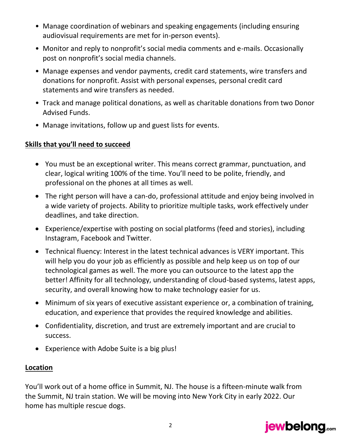- Manage coordination of webinars and speaking engagements (including ensuring audiovisual requirements are met for in-person events).
- Monitor and reply to nonprofit's social media comments and e-mails. Occasionally post on nonprofit's social media channels.
- Manage expenses and vendor payments, credit card statements, wire transfers and donations for nonprofit. Assist with personal expenses, personal credit card statements and wire transfers as needed.
- Track and manage political donations, as well as charitable donations from two Donor Advised Funds.
- Manage invitations, follow up and guest lists for events.

# **Skills that you'll need to succeed**

- You must be an exceptional writer. This means correct grammar, punctuation, and clear, logical writing 100% of the time. You'll need to be polite, friendly, and professional on the phones at all times as well.
- The right person will have a can-do, professional attitude and enjoy being involved in a wide variety of projects. Ability to prioritize multiple tasks, work effectively under deadlines, and take direction.
- Experience/expertise with posting on social platforms (feed and stories), including Instagram, Facebook and Twitter.
- Technical fluency: Interest in the latest technical advances is VERY important. This will help you do your job as efficiently as possible and help keep us on top of our technological games as well. The more you can outsource to the latest app the better! Affinity for all technology, understanding of cloud-based systems, latest apps, security, and overall knowing how to make technology easier for us.
- Minimum of six years of executive assistant experience or, a combination of training, education, and experience that provides the required knowledge and abilities.
- Confidentiality, discretion, and trust are extremely important and are crucial to success.
- Experience with Adobe Suite is a big plus!

### **Location**

You'll work out of a home office in Summit, NJ. The house is a fifteen-minute walk from the Summit, NJ train station. We will be moving into New York City in early 2022. Our home has multiple rescue dogs.